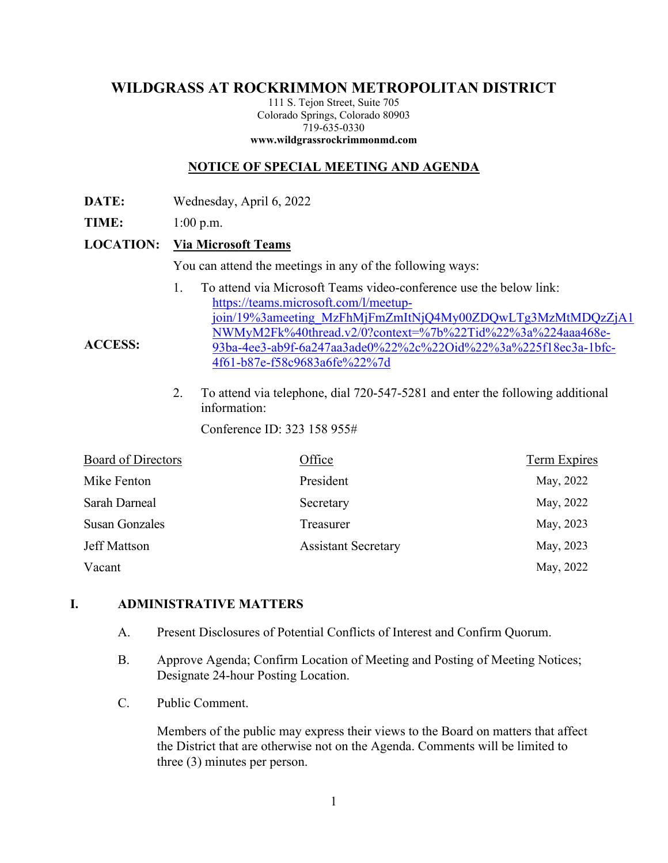# **WILDGRASS AT ROCKRIMMON METROPOLITAN DISTRICT**

111 S. Tejon Street, Suite 705 Colorado Springs, Colorado 80903 719-635-0330 **www.wildgrassrockrimmonmd.com**

## **NOTICE OF SPECIAL MEETING AND AGENDA**

- **DATE:** Wednesday, April 6, 2022
- **TIME:** 1:00 p.m.

**ACCESS:** 

#### **LOCATION: Via Microsoft Teams**

You can attend the meetings in any of the following ways:

- 1. To attend via Microsoft Teams video-conference use the below link: https://teams.microsoft.com/l/meetupjoin/19%3ameeting\_MzFhMjFmZmItNjQ4My00ZDQwLTg3MzMtMDQzZjA1 NWMyM2Fk%40thread.v2/0?context=%7b%22Tid%22%3a%224aaa468e-93ba-4ee3-ab9f-6a247aa3ade0%22%2c%22Oid%22%3a%225f18ec3a-1bfc-4f61-b87e-f58c9683a6fe%22%7d
- 2. To attend via telephone, dial 720-547-5281 and enter the following additional information:

Conference ID: 323 158 955#

| <b>Board of Directors</b> | Office                     | <b>Term Expires</b> |
|---------------------------|----------------------------|---------------------|
| Mike Fenton               | President                  | May, 2022           |
| Sarah Darneal             | Secretary                  | May, 2022           |
| <b>Susan Gonzales</b>     | Treasurer                  | May, 2023           |
| Jeff Mattson              | <b>Assistant Secretary</b> | May, 2023           |
| Vacant                    |                            | May, 2022           |

#### **I. ADMINISTRATIVE MATTERS**

- A. Present Disclosures of Potential Conflicts of Interest and Confirm Quorum.
- B. Approve Agenda; Confirm Location of Meeting and Posting of Meeting Notices; Designate 24-hour Posting Location.
- C. Public Comment.

Members of the public may express their views to the Board on matters that affect the District that are otherwise not on the Agenda. Comments will be limited to three (3) minutes per person.